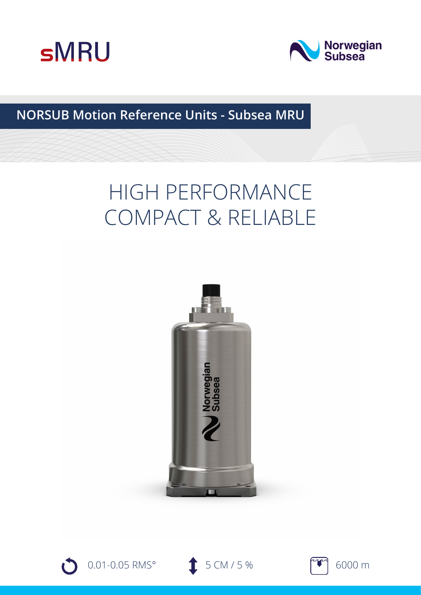



## **NORSUB Motion Reference Units - Subsea MRU**

# HIGH PERFORMANCE COMPACT & RELIABLE







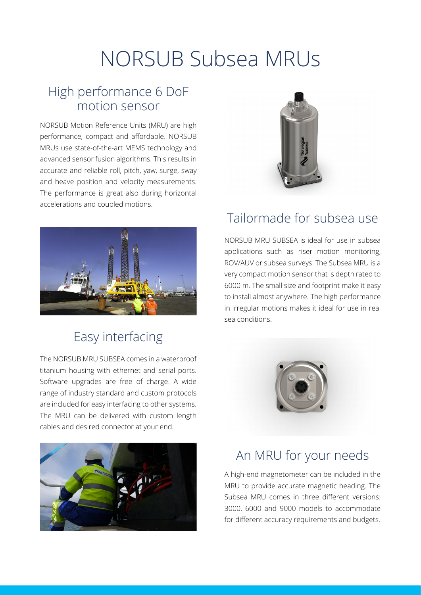# NORSUB Subsea MRUs

## High performance 6 DoF motion sensor

NORSUB Motion Reference Units (MRU) are high performance, compact and affordable. NORSUB MRUs use state-of-the-art MEMS technology and advanced sensor fusion algorithms. This results in accurate and reliable roll, pitch, yaw, surge, sway and heave position and velocity measurements. The performance is great also during horizontal accelerations and coupled motions.



## Easy interfacing

The NORSUB MRU SUBSEA comes in a waterproof titanium housing with ethernet and serial ports. Software upgrades are free of charge. A wide range of industry standard and custom protocols are included for easy interfacing to other systems. The MRU can be delivered with custom length cables and desired connector at your end.





#### Tailormade for subsea use

NORSUB MRU SUBSEA is ideal for use in subsea applications such as riser motion monitoring, ROV/AUV or subsea surveys. The Subsea MRU is a very compact motion sensor that is depth rated to 6000 m. The small size and footprint make it easy to install almost anywhere. The high performance in irregular motions makes it ideal for use in real sea conditions.



### An MRU for your needs

A high-end magnetometer can be included in the MRU to provide accurate magnetic heading. The Subsea MRU comes in three different versions: 3000, 6000 and 9000 models to accommodate for different accuracy requirements and budgets.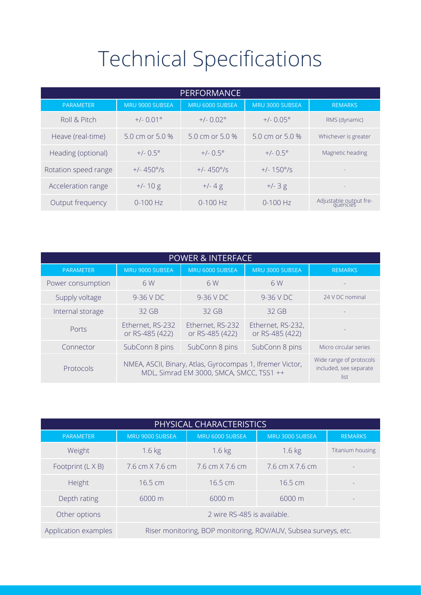# Technical Specifications

| <b>PERFORMANCE</b>   |                      |                      |                      |                                    |  |  |  |
|----------------------|----------------------|----------------------|----------------------|------------------------------------|--|--|--|
| <b>PARAMETER</b>     | MRU 9000 SUBSEA      | MRU 6000 SUBSEA      | MRU 3000 SUBSEA      | <b>REMARKS</b>                     |  |  |  |
| Roll & Pitch         | $+/- 0.01^{\circ}$   | $+/- 0.02$ °         | $+/- 0.05^{\circ}$   | RMS (dynamic)                      |  |  |  |
| Heave (real-time)    | 5.0 cm or 5.0 %      | 5.0 cm or 5.0 %      | 5.0 cm or 5.0 $%$    | Whichever is greater               |  |  |  |
| Heading (optional)   | $+/-$ 0.5 $^{\circ}$ | $+/-$ 0.5 $^{\circ}$ | $+/-$ 0.5 $^{\circ}$ | Magnetic heading                   |  |  |  |
| Rotation speed range | $+/- 450^{\circ}/s$  | $+/- 450^{\circ}/s$  | $+/- 150^{\circ}/s$  |                                    |  |  |  |
| Acceleration range   | $+/- 10 g$           | $+/- 4 g$            | $+/- 3 g$            |                                    |  |  |  |
| Output frequency     | $0-100$ Hz           | $0 - 100$ Hz         | $0-100$ Hz           | Adjustable output fre-<br>guencies |  |  |  |

| <b>POWER &amp; INTERFACE</b> |                                                                                                       |                                                           |                                      |                       |  |  |  |
|------------------------------|-------------------------------------------------------------------------------------------------------|-----------------------------------------------------------|--------------------------------------|-----------------------|--|--|--|
| <b>PARAMETER</b>             | MRU 9000 SUBSEA                                                                                       | MRU 6000 SUBSEA                                           | MRU 3000 SUBSEA                      | <b>REMARKS</b>        |  |  |  |
| Power consumption            | 6 W                                                                                                   | 6 W                                                       | 6 W                                  |                       |  |  |  |
| Supply voltage               | 9-36 V DC                                                                                             | 9-36 V DC                                                 | 9-36 V DC                            | 24 V DC nominal       |  |  |  |
| Internal storage             | $32$ GB                                                                                               | $32$ GB                                                   | $32$ GB                              |                       |  |  |  |
| Ports                        | Ethernet, RS-232<br>or RS-485 (422)                                                                   | Ethernet, RS-232<br>or RS-485 (422)                       | Ethernet, RS-232,<br>or RS-485 (422) |                       |  |  |  |
| Connector                    | SubConn 8 pins                                                                                        | SubConn 8 pins                                            | SubConn 8 pins                       | Micro circular series |  |  |  |
| Protocols                    | NMEA, ASCII, Binary, Atlas, Gyrocompas 1, Ifremer Victor,<br>MDL, Simrad EM 3000, SMCA, SMCC, TSS1 ++ | Wide range of protocols<br>included, see separate<br>list |                                      |                       |  |  |  |

| PHYSICAL CHARACTERISTICS |                                                                 |                                        |                                        |                  |  |  |  |
|--------------------------|-----------------------------------------------------------------|----------------------------------------|----------------------------------------|------------------|--|--|--|
| <b>PARAMETER</b>         | MRU 9000 SUBSEA                                                 | MRU 6000 SUBSEA                        | MRU 3000 SUBSEA                        | <b>REMARKS</b>   |  |  |  |
| Weight                   | $1.6 \text{ kg}$                                                | $1.6$ kg                               | $1.6$ kg                               | Titanium housing |  |  |  |
| Footprint (L X B)        | $7.6 \text{ cm} \times 7.6 \text{ cm}$                          | $7.6 \text{ cm} \times 7.6 \text{ cm}$ | $7.6 \text{ cm} \times 7.6 \text{ cm}$ |                  |  |  |  |
| <b>Height</b>            | $16.5 \text{ cm}$                                               | $16.5 \text{ cm}$                      | $16.5 \text{ cm}$                      |                  |  |  |  |
| Depth rating             | $6000 \text{ m}$                                                | $6000 \text{ m}$                       | $6000 \text{ m}$                       |                  |  |  |  |
| Other options            | 2 wire RS-485 is available.                                     |                                        |                                        |                  |  |  |  |
| Application examples     | Riser monitoring, BOP monitoring, ROV/AUV, Subsea surveys, etc. |                                        |                                        |                  |  |  |  |